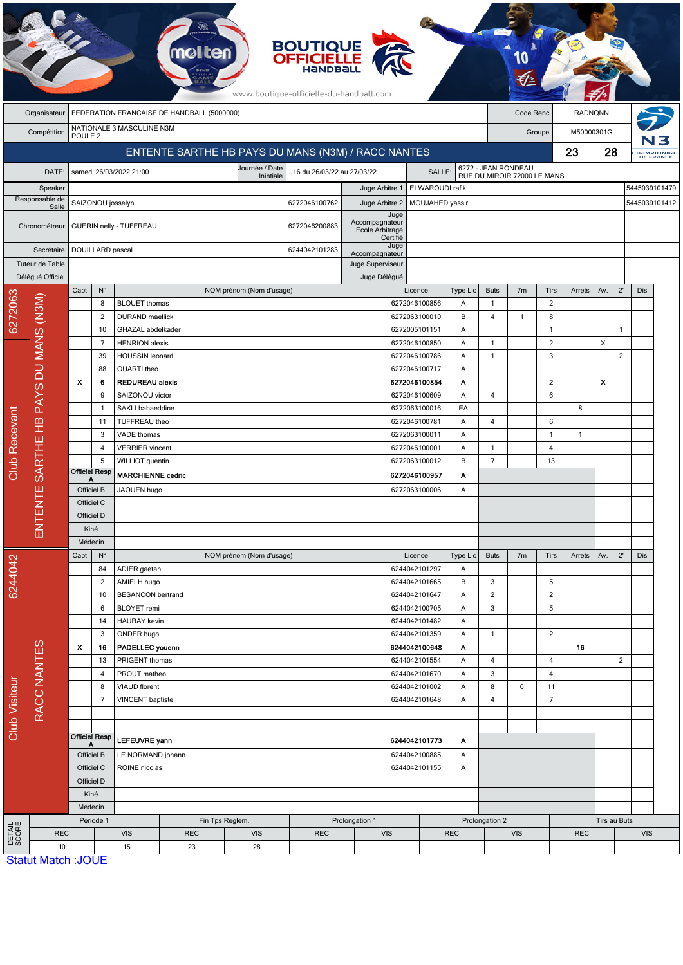|                                      | <b>BOUTIQUE</b><br><b>OFFICIELLE</b><br>HANDBA<br>www.boutique-officielle-du-handball.com |                                                                           |                                                        |                                                           |                   |                          |                                 |                                       |                                   |                                |                     |                                                    |                          |                   |                |     |                |                         |  |
|--------------------------------------|-------------------------------------------------------------------------------------------|---------------------------------------------------------------------------|--------------------------------------------------------|-----------------------------------------------------------|-------------------|--------------------------|---------------------------------|---------------------------------------|-----------------------------------|--------------------------------|---------------------|----------------------------------------------------|--------------------------|-------------------|----------------|-----|----------------|-------------------------|--|
|                                      | Organisateur                                                                              | FEDERATION FRANCAISE DE HANDBALL (5000000)<br>Code Renc<br><b>RADNQNN</b> |                                                        |                                                           |                   |                          |                                 |                                       |                                   |                                |                     |                                                    |                          |                   |                |     |                |                         |  |
|                                      | Compétition                                                                               | POULE <sub>2</sub>                                                        |                                                        | NATIONALE 3 MASCULINE N3M                                 |                   |                          |                                 |                                       |                                   |                                |                     | Groupe                                             |                          |                   | M50000301G     |     |                |                         |  |
|                                      |                                                                                           | ENTENTE SARTHE HB PAYS DU MANS (N3M) / RACC NANTES                        |                                                        |                                                           |                   |                          |                                 |                                       |                                   |                                |                     |                                                    |                          |                   | 23             | 28  |                | Hampionnat<br>DE FRANCE |  |
|                                      |                                                                                           |                                                                           |                                                        |                                                           |                   | Journée / Date           |                                 | J16 du 26/03/22 au 27/03/22<br>SALLE: |                                   |                                |                     | 6272 - JEAN RONDEAU<br>RUE DU MIROIR 72000 LE MANS |                          |                   |                |     |                |                         |  |
| DATE:                                |                                                                                           | samedi 26/03/2022 21:00<br>Inintiale                                      |                                                        |                                                           |                   |                          |                                 |                                       | ELWAROUDI rafik                   |                                |                     |                                                    |                          |                   |                |     | 5445039101479  |                         |  |
| Speaker<br>Responsable de            |                                                                                           | SAIZONOU josselyn                                                         |                                                        |                                                           |                   |                          | 6272046100762                   | Juge Arbitre 1                        | MOUJAHED yassir<br>Juge Arbitre 2 |                                |                     |                                                    |                          |                   |                |     |                | 5445039101412           |  |
| Salle<br>Chronométreur<br>Secrétaire |                                                                                           |                                                                           |                                                        |                                                           |                   |                          |                                 | Juge                                  |                                   |                                |                     |                                                    |                          |                   |                |     |                |                         |  |
|                                      |                                                                                           |                                                                           | GUERIN nelly - TUFFREAU                                |                                                           |                   |                          |                                 | Accompagnateur<br>Ecole Arbitrage     |                                   |                                |                     |                                                    |                          |                   |                |     |                |                         |  |
|                                      |                                                                                           | DOUILLARD pascal                                                          |                                                        |                                                           |                   |                          | 6244042101283<br>Accompagnateur |                                       | Certifié<br>Juge                  |                                |                     |                                                    |                          |                   |                |     |                |                         |  |
| Tuteur de Table                      |                                                                                           |                                                                           |                                                        |                                                           |                   |                          |                                 | Juge Superviseur                      |                                   |                                |                     |                                                    |                          |                   |                |     |                |                         |  |
|                                      | Délégué Officiel                                                                          |                                                                           |                                                        |                                                           |                   |                          |                                 | Juge Délégué                          |                                   |                                |                     |                                                    |                          |                   |                |     |                |                         |  |
|                                      |                                                                                           | Capt                                                                      | $N^{\circ}$                                            |                                                           |                   | NOM prénom (Nom d'usage) |                                 |                                       | Licence                           |                                | Type Lic            | <b>Buts</b>                                        | 7m                       | Tirs              | Arrets         | Av. | $2^{\prime}$   | Dis                     |  |
| 6272063                              |                                                                                           |                                                                           | 8                                                      | <b>BLOUET</b> thomas                                      |                   |                          |                                 |                                       | 6272046100856                     |                                | Α                   | $\mathbf{1}$                                       |                          | $\overline{2}$    |                |     |                |                         |  |
|                                      |                                                                                           |                                                                           | 2<br><b>DURAND</b> maellick<br>10<br>GHAZAL abdelkader |                                                           |                   |                          |                                 |                                       |                                   | 6272063100010<br>6272005101151 | B<br>Α              | 4                                                  | $\mathbf{1}$             | 8<br>$\mathbf{1}$ |                |     | $\mathbf{1}$   |                         |  |
|                                      |                                                                                           |                                                                           | $\overline{7}$                                         | <b>HENRION</b> alexis                                     |                   |                          |                                 |                                       | 6272046100850                     |                                | Α                   | $\mathbf{1}$                                       |                          | 2                 |                | X   |                |                         |  |
|                                      |                                                                                           |                                                                           | 39                                                     | <b>HOUSSIN</b> leonard                                    |                   |                          |                                 |                                       | 6272046100786                     |                                | Α                   | $\mathbf{1}$                                       |                          | 3                 |                |     | $\overline{2}$ |                         |  |
|                                      |                                                                                           |                                                                           | 88                                                     | OUARTI theo                                               |                   |                          |                                 |                                       | 6272046100717                     |                                | A                   |                                                    |                          |                   |                |     |                |                         |  |
|                                      |                                                                                           | X                                                                         | 6                                                      | <b>REDUREAU alexis</b>                                    |                   |                          |                                 |                                       | 6272046100854                     |                                | A                   |                                                    |                          | $\mathbf{2}$      |                | x   |                |                         |  |
|                                      | SARTHE HB PAYS DU MANS (N3M)<br>ENTE<br>톱                                                 |                                                                           | 9                                                      | SAIZONOU victor                                           |                   |                          |                                 |                                       | 6272046100609                     |                                | Α                   | 4                                                  |                          | 6                 |                |     |                |                         |  |
|                                      |                                                                                           |                                                                           | $\mathbf{1}$                                           | SAKLI bahaeddine                                          |                   |                          |                                 |                                       | 6272063100016                     |                                | EA                  |                                                    |                          |                   | 8              |     |                |                         |  |
|                                      |                                                                                           |                                                                           | 11                                                     | TUFFREAU theo<br>6272046100781                            |                   |                          | Α                               | 4                                     |                                   | 6                              |                     |                                                    |                          |                   |                |     |                |                         |  |
|                                      |                                                                                           |                                                                           | 3                                                      | VADE thomas                                               |                   |                          |                                 |                                       | 6272063100011                     |                                | A                   |                                                    |                          | $\mathbf{1}$      | $\overline{1}$ |     |                |                         |  |
|                                      |                                                                                           |                                                                           | 4<br>5                                                 | <b>VERRIER</b> vincent<br>WILLIOT quentin                 |                   |                          |                                 |                                       | 6272046100001<br>6272063100012    |                                | Α<br>B              | $\overline{1}$<br>$\overline{7}$                   |                          | 4<br>13           |                |     |                |                         |  |
| Club Recevant                        |                                                                                           |                                                                           | <b>Officiel Resp</b>                                   | <b>MARCHIENNE cedric</b>                                  |                   |                          | 6272046100957                   |                                       |                                   | Α                              |                     |                                                    |                          |                   |                |     |                |                         |  |
|                                      |                                                                                           | Α<br>Officiel B                                                           |                                                        | JAOUEN hugo                                               |                   |                          |                                 | 6272063100006                         |                                   | Α                              |                     |                                                    |                          |                   |                |     |                |                         |  |
|                                      |                                                                                           | Officiel C                                                                |                                                        |                                                           |                   |                          |                                 |                                       |                                   |                                |                     |                                                    |                          |                   |                |     |                |                         |  |
|                                      |                                                                                           | Officiel D                                                                |                                                        |                                                           |                   |                          |                                 |                                       |                                   |                                |                     |                                                    |                          |                   |                |     |                |                         |  |
|                                      |                                                                                           | Kiné                                                                      |                                                        |                                                           |                   |                          |                                 |                                       |                                   |                                |                     |                                                    |                          |                   |                |     |                |                         |  |
|                                      |                                                                                           | Médecin                                                                   |                                                        |                                                           |                   |                          |                                 |                                       |                                   |                                |                     |                                                    |                          |                   |                |     |                |                         |  |
|                                      |                                                                                           | Capt                                                                      | $N^{\circ}$                                            |                                                           |                   | NOM prénom (Nom d'usage) |                                 |                                       | Licence<br>6244042101297          |                                | Type Lic            | <b>Buts</b>                                        | 7 <sub>m</sub>           | Tirs              | Arrets         | Av. | $2^{\prime}$   | Dis                     |  |
| 6244042                              |                                                                                           |                                                                           | 84<br>ADIER gaetan<br>AMIELH hugo<br>2                 |                                                           |                   |                          |                                 |                                       | Α                                 |                                |                     |                                                    |                          |                   |                |     |                |                         |  |
|                                      |                                                                                           |                                                                           |                                                        | <b>BESANCON bertrand</b><br>10<br>6<br><b>BLOYET</b> remi |                   |                          |                                 | 6244042101665<br>6244042101647        |                                   | B<br>A                         | 3<br>$\overline{c}$ |                                                    | 5<br>$\overline{c}$      |                   |                |     |                |                         |  |
| Club Visiteur                        |                                                                                           |                                                                           |                                                        |                                                           |                   |                          |                                 | 6244042100705                         |                                   | Α                              | 3                   |                                                    | $\sqrt{5}$               |                   |                |     |                |                         |  |
|                                      |                                                                                           |                                                                           | 14                                                     | <b>HAURAY</b> kevin                                       |                   |                          |                                 |                                       | 6244042101482                     |                                | Α                   |                                                    |                          |                   |                |     |                |                         |  |
|                                      |                                                                                           |                                                                           | 3                                                      | ONDER hugo                                                |                   |                          |                                 |                                       | 6244042101359                     |                                | Α                   | $\mathbf{1}$                                       |                          | $\overline{2}$    |                |     |                |                         |  |
|                                      | RACC NANTES                                                                               | X                                                                         | 16                                                     | PADELLEC youenn                                           |                   |                          |                                 |                                       |                                   | 6244042100648                  |                     |                                                    |                          |                   | 16             |     |                |                         |  |
|                                      |                                                                                           |                                                                           | 13                                                     | PRIGENT thomas                                            |                   |                          |                                 |                                       | 6244042101554                     |                                | Α                   | 4                                                  |                          | 4                 |                |     | $\overline{2}$ |                         |  |
|                                      |                                                                                           |                                                                           | 4                                                      | PROUT matheo<br>8<br><b>VIAUD</b> florent                 |                   |                          | 6244042101670<br>6244042101002  |                                       | Α                                 | 3<br>8                         |                     | $\overline{4}$                                     |                          |                   |                |     |                |                         |  |
|                                      |                                                                                           |                                                                           | $\overline{7}$<br>VINCENT baptiste                     |                                                           |                   |                          |                                 | 6244042101648                         |                                   | Α<br>Α                         | 4                   | 6                                                  | 11<br>$\overline{7}$     |                   |                |     |                |                         |  |
|                                      |                                                                                           |                                                                           |                                                        |                                                           |                   |                          |                                 |                                       |                                   |                                |                     |                                                    |                          |                   |                |     |                |                         |  |
|                                      |                                                                                           |                                                                           |                                                        |                                                           |                   |                          |                                 |                                       |                                   |                                |                     |                                                    |                          |                   |                |     |                |                         |  |
|                                      |                                                                                           | <b>Officiel Resp</b><br>A                                                 |                                                        | LEFEUVRE yann                                             |                   |                          |                                 | 6244042101773<br>Α                    |                                   |                                |                     |                                                    |                          |                   |                |     |                |                         |  |
|                                      |                                                                                           |                                                                           | Officiel B                                             |                                                           | LE NORMAND johann |                          |                                 |                                       | 6244042100885<br>6244042101155    |                                | Α                   |                                                    |                          |                   |                |     |                |                         |  |
|                                      |                                                                                           | Officiel C<br>Officiel D<br>Kiné                                          |                                                        | ROINE nicolas                                             |                   |                          |                                 |                                       |                                   |                                | Α                   |                                                    |                          |                   |                |     |                |                         |  |
|                                      |                                                                                           |                                                                           |                                                        |                                                           |                   |                          |                                 |                                       |                                   |                                |                     |                                                    |                          |                   |                |     |                |                         |  |
|                                      |                                                                                           |                                                                           |                                                        |                                                           |                   |                          |                                 |                                       |                                   |                                |                     |                                                    |                          |                   |                |     |                |                         |  |
|                                      |                                                                                           | Médecin<br>Période 1                                                      |                                                        |                                                           |                   | Fin Tps Reglem.          |                                 | Prolongation 1                        |                                   | Prolongation 2                 |                     |                                                    |                          |                   | Tirs au Buts   |     |                |                         |  |
| DETAIL<br>SCORE                      | <b>REC</b>                                                                                |                                                                           |                                                        | <b>VIS</b>                                                | <b>REC</b>        | <b>VIS</b>               | <b>REC</b>                      |                                       | <b>VIS</b>                        | <b>REC</b>                     |                     |                                                    | <b>VIS</b><br><b>REC</b> |                   |                |     |                | <b>VIS</b>              |  |
|                                      | 10                                                                                        |                                                                           |                                                        | 15                                                        | 23                | 28                       |                                 |                                       |                                   |                                |                     |                                                    |                          |                   |                |     |                |                         |  |
|                                      | <b>Statut Match: JOUE</b>                                                                 |                                                                           |                                                        |                                                           |                   |                          |                                 |                                       |                                   |                                |                     |                                                    |                          |                   |                |     |                |                         |  |